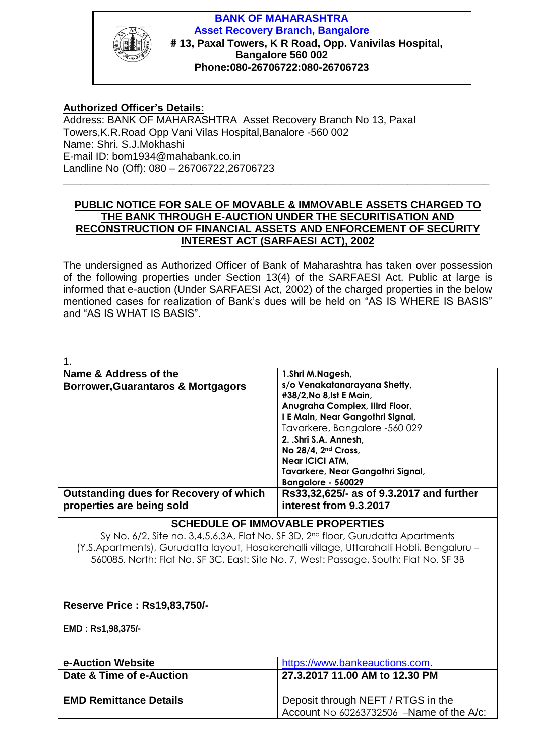

**BANK OF MAHARASHTRA Asset Recovery Branch, Bangalore # 13, Paxal Towers, K R Road, Opp. Vanivilas Hospital, Bangalore 560 002 Phone:080-26706722:080-26706723** 

## **Authorized Officer's Details:**

Address: BANK OF MAHARASHTRA Asset Recovery Branch No 13, Paxal Towers,K.R.Road Opp Vani Vilas Hospital,Banalore -560 002 Name: Shri. S.J.Mokhashi E-mail ID: bom1934@mahabank.co.in Landline No (Off): 080 – 26706722,26706723

## **PUBLIC NOTICE FOR SALE OF MOVABLE & IMMOVABLE ASSETS CHARGED TO THE BANK THROUGH E-AUCTION UNDER THE SECURITISATION AND RECONSTRUCTION OF FINANCIAL ASSETS AND ENFORCEMENT OF SECURITY INTEREST ACT (SARFAESI ACT), 2002**

**\_\_\_\_\_\_\_\_\_\_\_\_\_\_\_\_\_\_\_\_\_\_\_\_\_\_\_\_\_\_\_\_\_\_\_\_\_\_\_\_\_\_\_\_\_\_\_\_\_\_\_\_\_\_\_\_\_\_\_\_\_\_\_\_\_\_\_\_\_\_\_\_\_**

The undersigned as Authorized Officer of Bank of Maharashtra has taken over possession of the following properties under Section 13(4) of the SARFAESI Act. Public at large is informed that e-auction (Under SARFAESI Act, 2002) of the charged properties in the below mentioned cases for realization of Bank's dues will be held on "AS IS WHERE IS BASIS" and "AS IS WHAT IS BASIS".

| 1.                                                                                           |                                          |  |
|----------------------------------------------------------------------------------------------|------------------------------------------|--|
| Name & Address of the                                                                        | 1.Shri M.Nagesh,                         |  |
| <b>Borrower, Guarantaros &amp; Mortgagors</b>                                                | s/o Venakatanarayana Shetty,             |  |
|                                                                                              | #38/2, No 8, Ist E Main,                 |  |
|                                                                                              | Anugraha Complex, Illrd Floor,           |  |
|                                                                                              | I E Main, Near Gangothri Signal,         |  |
|                                                                                              | Tavarkere, Bangalore -560 029            |  |
|                                                                                              | 2. .Shri S.A. Annesh.                    |  |
|                                                                                              | No 28/4, 2 <sup>nd</sup> Cross,          |  |
|                                                                                              | Near ICICI ATM,                          |  |
|                                                                                              | Tavarkere, Near Gangothri Signal,        |  |
|                                                                                              | Bangalore - 560029                       |  |
| <b>Outstanding dues for Recovery of which</b>                                                | Rs33,32,625/- as of 9.3.2017 and further |  |
| properties are being sold                                                                    | interest from 9.3.2017                   |  |
| <b>SCHEDULE OF IMMOVABLE PROPERTIES</b>                                                      |                                          |  |
| Sy No. 6/2, Site no. 3,4,5,6,3A, Flat No. SF 3D, 2 <sup>nd</sup> floor, Gurudatta Apartments |                                          |  |
| (Y.S.Apartments), Gurudatta layout, Hosakerehalli village, Uttarahalli Hobli, Bengaluru -    |                                          |  |
| 560085. North: Flat No. SF 3C, East: Site No. 7, West: Passage, South: Flat No. SF 3B        |                                          |  |
|                                                                                              |                                          |  |
|                                                                                              |                                          |  |
| <b>Reserve Price: Rs19,83,750/-</b>                                                          |                                          |  |
|                                                                                              |                                          |  |
| EMD: Rs1,98,375/-                                                                            |                                          |  |
|                                                                                              |                                          |  |
|                                                                                              |                                          |  |
| e-Auction Website                                                                            | https://www.bankeauctions.com.           |  |
| Date & Time of e-Auction                                                                     | 27.3.2017 11.00 AM to 12.30 PM           |  |
|                                                                                              |                                          |  |
| <b>EMD Remittance Details</b>                                                                | Deposit through NEFT / RTGS in the       |  |
|                                                                                              | Account No 60263732506 -Name of the A/c: |  |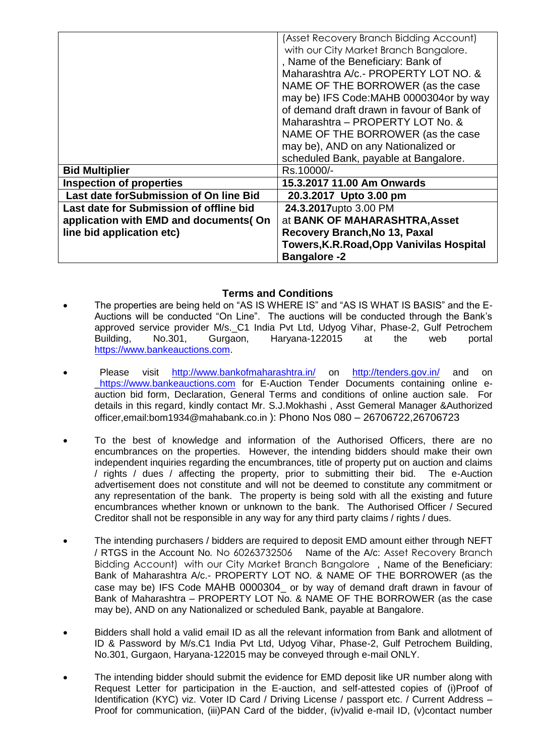|                                         | (Asset Recovery Branch Bidding Account)          |
|-----------------------------------------|--------------------------------------------------|
|                                         | with our City Market Branch Bangalore.           |
|                                         | , Name of the Beneficiary: Bank of               |
|                                         | Maharashtra A/c.- PROPERTY LOT NO. &             |
|                                         | NAME OF THE BORROWER (as the case                |
|                                         | may be) IFS Code: MAHB 0000304or by way          |
|                                         | of demand draft drawn in favour of Bank of       |
|                                         | Maharashtra - PROPERTY LOT No. &                 |
|                                         | NAME OF THE BORROWER (as the case                |
|                                         | may be), AND on any Nationalized or              |
|                                         | scheduled Bank, payable at Bangalore.            |
| <b>Bid Multiplier</b>                   | Rs.10000/-                                       |
| <b>Inspection of properties</b>         | 15.3.2017 11.00 Am Onwards                       |
| Last date for Submission of On line Bid | 20.3.2017 Upto 3.00 pm                           |
| Last date for Submission of offline bid | 24.3.2017upto 3.00 PM                            |
| application with EMD and documents (On  | at BANK OF MAHARASHTRA, Asset                    |
| line bid application etc)               | Recovery Branch, No 13, Paxal                    |
|                                         | <b>Towers, K.R. Road, Opp Vanivilas Hospital</b> |
|                                         | <b>Bangalore -2</b>                              |

## **Terms and Conditions**

- The properties are being held on "AS IS WHERE IS" and "AS IS WHAT IS BASIS" and the E-Auctions will be conducted "On Line". The auctions will be conducted through the Bank's approved service provider M/s.\_C1 India Pvt Ltd, Udyog Vihar, Phase-2, Gulf Petrochem Building, No.301, Gurgaon, Haryana-122015 at the web portal [https://www.bankeauctions.com.](https://www.bankeauctions.com/)
- Please visit <http://www.bankofmaharashtra.in/> on <http://tenders.gov.in/> and on [\\_https://www.bankeauctions.com](https://www.bankeauctions.com/) for E-Auction Tender Documents containing online eauction bid form, Declaration, General Terms and conditions of online auction sale. For details in this regard, kindly contact Mr. S.J.Mokhashi , Asst Gemeral Manager &Authorized officer,email:bom1934@mahabank.co.in ): Phono Nos 080 – 26706722,26706723
- To the best of knowledge and information of the Authorised Officers, there are no encumbrances on the properties. However, the intending bidders should make their own independent inquiries regarding the encumbrances, title of property put on auction and claims / rights / dues / affecting the property, prior to submitting their bid. The e-Auction advertisement does not constitute and will not be deemed to constitute any commitment or any representation of the bank. The property is being sold with all the existing and future encumbrances whether known or unknown to the bank. The Authorised Officer / Secured Creditor shall not be responsible in any way for any third party claims / rights / dues.
- The intending purchasers / bidders are required to deposit EMD amount either through NEFT / RTGS in the Account No*.* No 60263732506 Name of the A/c: Asset Recovery Branch Bidding Account) with our City Market Branch Bangalore , Name of the Beneficiary: Bank of Maharashtra A/c.- PROPERTY LOT NO. & NAME OF THE BORROWER (as the case may be) IFS Code MAHB 0000304\_ or by way of demand draft drawn in favour of Bank of Maharashtra – PROPERTY LOT No. & NAME OF THE BORROWER (as the case may be), AND on any Nationalized or scheduled Bank, payable at Bangalore.
- Bidders shall hold a valid email ID as all the relevant information from Bank and allotment of ID & Password by M/s.C1 India Pvt Ltd, Udyog Vihar, Phase-2, Gulf Petrochem Building, No.301, Gurgaon, Haryana-122015 may be conveyed through e-mail ONLY.
- The intending bidder should submit the evidence for EMD deposit like UR number along with Request Letter for participation in the E-auction, and self-attested copies of (i)Proof of Identification (KYC) viz. Voter ID Card / Driving License / passport etc. / Current Address -Proof for communication, (iii)PAN Card of the bidder, (iv)valid e-mail ID, (v)contact number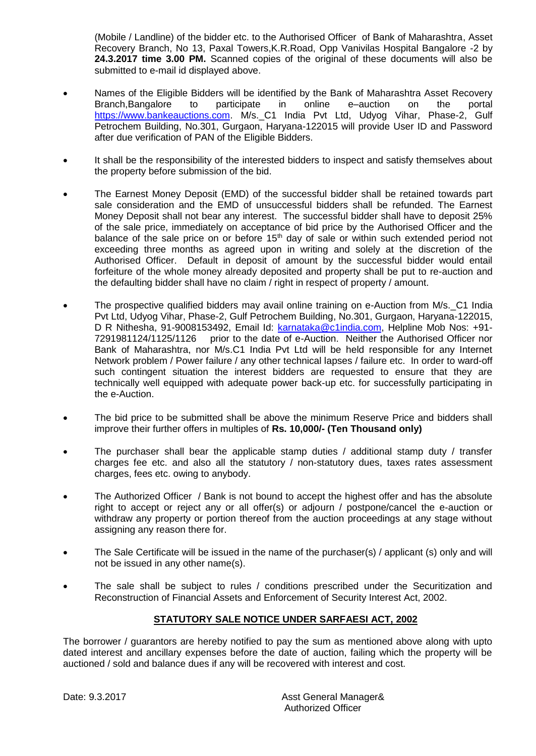(Mobile / Landline) of the bidder etc. to the Authorised Officer of Bank of Maharashtra, Asset Recovery Branch, No 13, Paxal Towers,K.R.Road, Opp Vanivilas Hospital Bangalore -2 by **24.3.2017 time 3.00 PM.** Scanned copies of the original of these documents will also be submitted to e-mail id displayed above.

- Names of the Eligible Bidders will be identified by the Bank of Maharashtra Asset Recovery Branch,Bangalore to participate in online e–auction on the portal [https://www.bankeauctions.com.](https://www.bankeauctions.com/) M/s.\_C1 India Pvt Ltd, Udyog Vihar, Phase-2, Gulf Petrochem Building, No.301, Gurgaon, Haryana-122015 will provide User ID and Password after due verification of PAN of the Eligible Bidders.
- It shall be the responsibility of the interested bidders to inspect and satisfy themselves about the property before submission of the bid.
- The Earnest Money Deposit (EMD) of the successful bidder shall be retained towards part sale consideration and the EMD of unsuccessful bidders shall be refunded. The Earnest Money Deposit shall not bear any interest. The successful bidder shall have to deposit 25% of the sale price, immediately on acceptance of bid price by the Authorised Officer and the balance of the sale price on or before 15<sup>th</sup> day of sale or within such extended period not exceeding three months as agreed upon in writing and solely at the discretion of the Authorised Officer. Default in deposit of amount by the successful bidder would entail forfeiture of the whole money already deposited and property shall be put to re-auction and the defaulting bidder shall have no claim / right in respect of property / amount.
- The prospective qualified bidders may avail online training on e-Auction from M/s.\_C1 India Pvt Ltd, Udyog Vihar, Phase-2, Gulf Petrochem Building, No.301, Gurgaon, Haryana-122015, D R Nithesha, 91-9008153492, Email Id: [karnataka@c1india.com,](mailto:karnataka@c1india.com) Helpline Mob Nos: +91- 7291981124/1125/1126 prior to the date of e-Auction. Neither the Authorised Officer nor Bank of Maharashtra, nor M/s.C1 India Pvt Ltd will be held responsible for any Internet Network problem / Power failure / any other technical lapses / failure etc. In order to ward-off such contingent situation the interest bidders are requested to ensure that they are technically well equipped with adequate power back-up etc. for successfully participating in the e-Auction.
- The bid price to be submitted shall be above the minimum Reserve Price and bidders shall improve their further offers in multiples of **Rs. 10,000/- (Ten Thousand only)**
- The purchaser shall bear the applicable stamp duties / additional stamp duty / transfer charges fee etc. and also all the statutory / non-statutory dues, taxes rates assessment charges, fees etc. owing to anybody.
- The Authorized Officer / Bank is not bound to accept the highest offer and has the absolute right to accept or reject any or all offer(s) or adjourn / postpone/cancel the e-auction or withdraw any property or portion thereof from the auction proceedings at any stage without assigning any reason there for.
- The Sale Certificate will be issued in the name of the purchaser(s) / applicant (s) only and will not be issued in any other name(s).
- The sale shall be subject to rules / conditions prescribed under the Securitization and Reconstruction of Financial Assets and Enforcement of Security Interest Act, 2002.

## **STATUTORY SALE NOTICE UNDER SARFAESI ACT, 2002**

The borrower / guarantors are hereby notified to pay the sum as mentioned above along with upto dated interest and ancillary expenses before the date of auction, failing which the property will be auctioned / sold and balance dues if any will be recovered with interest and cost.